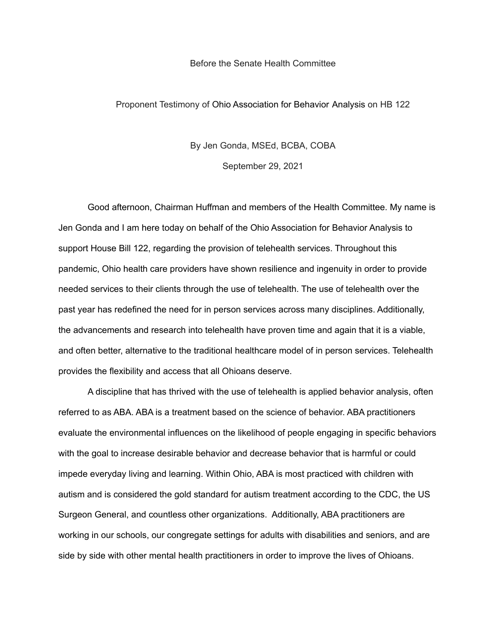## Before the Senate Health Committee

## Proponent Testimony of Ohio Association for Behavior Analysis on HB 122

## By Jen Gonda, MSEd, BCBA, COBA

September 29, 2021

Good afternoon, Chairman Huffman and members of the Health Committee. My name is Jen Gonda and I am here today on behalf of the Ohio Association for Behavior Analysis to support House Bill 122, regarding the provision of telehealth services. Throughout this pandemic, Ohio health care providers have shown resilience and ingenuity in order to provide needed services to their clients through the use of telehealth. The use of telehealth over the past year has redefined the need for in person services across many disciplines. Additionally, the advancements and research into telehealth have proven time and again that it is a viable, and often better, alternative to the traditional healthcare model of in person services. Telehealth provides the flexibility and access that all Ohioans deserve.

A discipline that has thrived with the use of telehealth is applied behavior analysis, often referred to as ABA. ABA is a treatment based on the science of behavior. ABA practitioners evaluate the environmental influences on the likelihood of people engaging in specific behaviors with the goal to increase desirable behavior and decrease behavior that is harmful or could impede everyday living and learning. Within Ohio, ABA is most practiced with children with autism and is considered the gold standard for autism treatment according to the CDC, the US Surgeon General, and countless other organizations. Additionally, ABA practitioners are working in our schools, our congregate settings for adults with disabilities and seniors, and are side by side with other mental health practitioners in order to improve the lives of Ohioans.